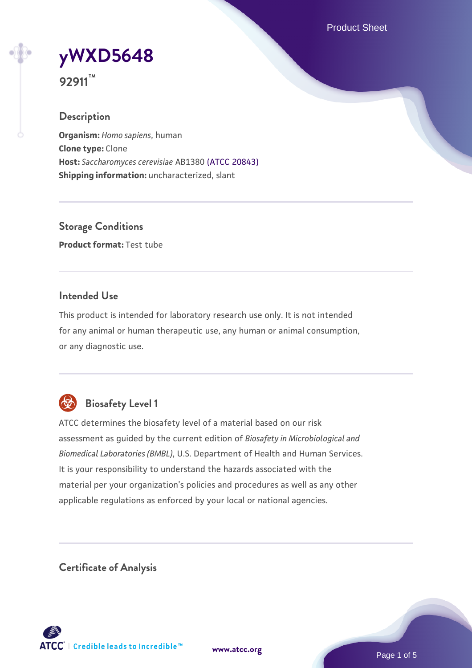Product Sheet



**92911™**

### **Description**

**Organism:** *Homo sapiens*, human **Clone type:** Clone **Host:** *Saccharomyces cerevisiae* AB1380 [\(ATCC 20843\)](https://www.atcc.org/products/20843) **Shipping information:** uncharacterized, slant

**Storage Conditions Product format:** Test tube

### **Intended Use**

This product is intended for laboratory research use only. It is not intended for any animal or human therapeutic use, any human or animal consumption, or any diagnostic use.



# **Biosafety Level 1**

ATCC determines the biosafety level of a material based on our risk assessment as guided by the current edition of *Biosafety in Microbiological and Biomedical Laboratories (BMBL)*, U.S. Department of Health and Human Services. It is your responsibility to understand the hazards associated with the material per your organization's policies and procedures as well as any other applicable regulations as enforced by your local or national agencies.

**Certificate of Analysis**

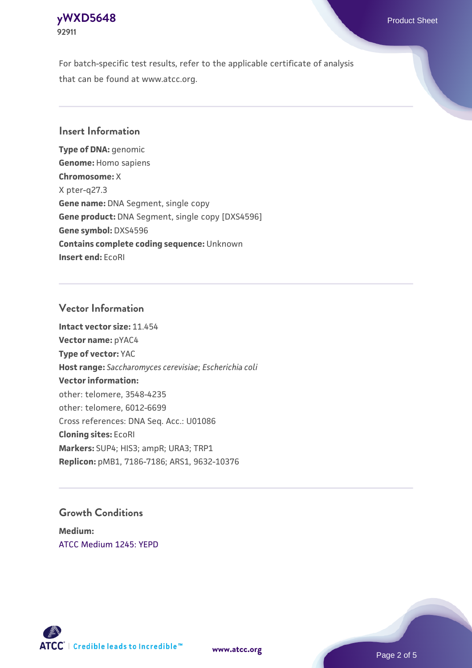# **[yWXD5648](https://www.atcc.org/products/92911)** Product Sheet **92911**

For batch-specific test results, refer to the applicable certificate of analysis that can be found at www.atcc.org.

#### **Insert Information**

**Type of DNA:** genomic **Genome:** Homo sapiens **Chromosome:** X X pter-q27.3 **Gene name:** DNA Segment, single copy **Gene product:** DNA Segment, single copy [DXS4596] **Gene symbol:** DXS4596 **Contains complete coding sequence:** Unknown **Insert end:** EcoRI

#### **Vector Information**

**Intact vector size:** 11.454 **Vector name:** pYAC4 **Type of vector:** YAC **Host range:** *Saccharomyces cerevisiae*; *Escherichia coli* **Vector information:** other: telomere, 3548-4235 other: telomere, 6012-6699 Cross references: DNA Seq. Acc.: U01086 **Cloning sites:** EcoRI **Markers:** SUP4; HIS3; ampR; URA3; TRP1 **Replicon:** pMB1, 7186-7186; ARS1, 9632-10376

#### **Growth Conditions**

**Medium:**  [ATCC Medium 1245: YEPD](https://www.atcc.org/-/media/product-assets/documents/microbial-media-formulations/1/2/4/5/atcc-medium-1245.pdf?rev=705ca55d1b6f490a808a965d5c072196)



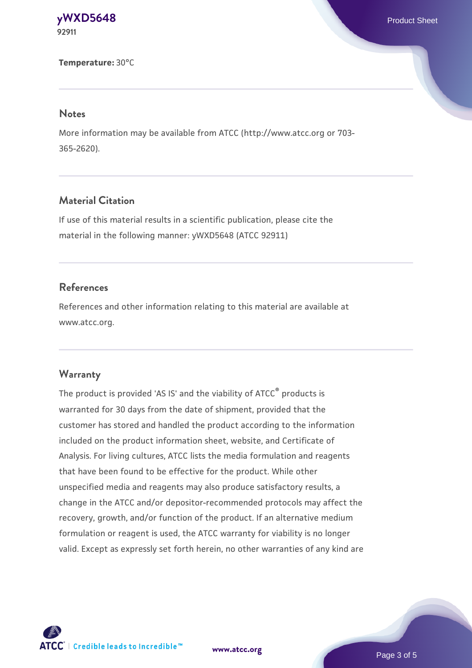**[yWXD5648](https://www.atcc.org/products/92911)** Product Sheet **92911**

**Temperature:** 30°C

#### **Notes**

More information may be available from ATCC (http://www.atcc.org or 703- 365-2620).

### **Material Citation**

If use of this material results in a scientific publication, please cite the material in the following manner: yWXD5648 (ATCC 92911)

#### **References**

References and other information relating to this material are available at www.atcc.org.

#### **Warranty**

The product is provided 'AS IS' and the viability of ATCC® products is warranted for 30 days from the date of shipment, provided that the customer has stored and handled the product according to the information included on the product information sheet, website, and Certificate of Analysis. For living cultures, ATCC lists the media formulation and reagents that have been found to be effective for the product. While other unspecified media and reagents may also produce satisfactory results, a change in the ATCC and/or depositor-recommended protocols may affect the recovery, growth, and/or function of the product. If an alternative medium formulation or reagent is used, the ATCC warranty for viability is no longer valid. Except as expressly set forth herein, no other warranties of any kind are

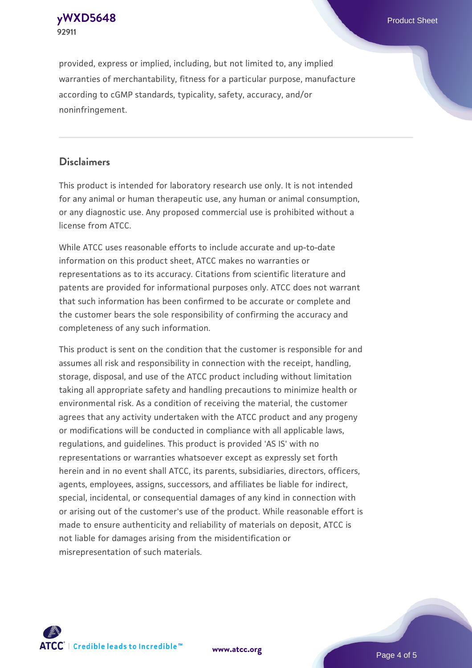

provided, express or implied, including, but not limited to, any implied warranties of merchantability, fitness for a particular purpose, manufacture according to cGMP standards, typicality, safety, accuracy, and/or noninfringement.

#### **Disclaimers**

This product is intended for laboratory research use only. It is not intended for any animal or human therapeutic use, any human or animal consumption, or any diagnostic use. Any proposed commercial use is prohibited without a license from ATCC.

While ATCC uses reasonable efforts to include accurate and up-to-date information on this product sheet, ATCC makes no warranties or representations as to its accuracy. Citations from scientific literature and patents are provided for informational purposes only. ATCC does not warrant that such information has been confirmed to be accurate or complete and the customer bears the sole responsibility of confirming the accuracy and completeness of any such information.

This product is sent on the condition that the customer is responsible for and assumes all risk and responsibility in connection with the receipt, handling, storage, disposal, and use of the ATCC product including without limitation taking all appropriate safety and handling precautions to minimize health or environmental risk. As a condition of receiving the material, the customer agrees that any activity undertaken with the ATCC product and any progeny or modifications will be conducted in compliance with all applicable laws, regulations, and guidelines. This product is provided 'AS IS' with no representations or warranties whatsoever except as expressly set forth herein and in no event shall ATCC, its parents, subsidiaries, directors, officers, agents, employees, assigns, successors, and affiliates be liable for indirect, special, incidental, or consequential damages of any kind in connection with or arising out of the customer's use of the product. While reasonable effort is made to ensure authenticity and reliability of materials on deposit, ATCC is not liable for damages arising from the misidentification or misrepresentation of such materials.



**[www.atcc.org](http://www.atcc.org)**

Page 4 of 5